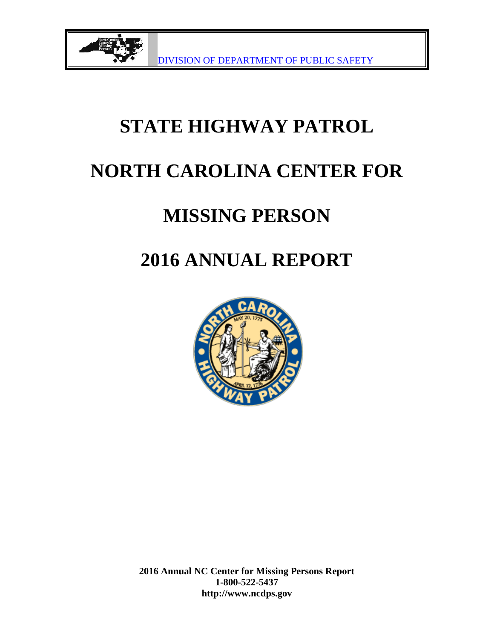

# **STATE HIGHWAY PATROL**

## **NORTH CAROLINA CENTER FOR**

# **MISSING PERSON**

# **2016 ANNUAL REPORT**

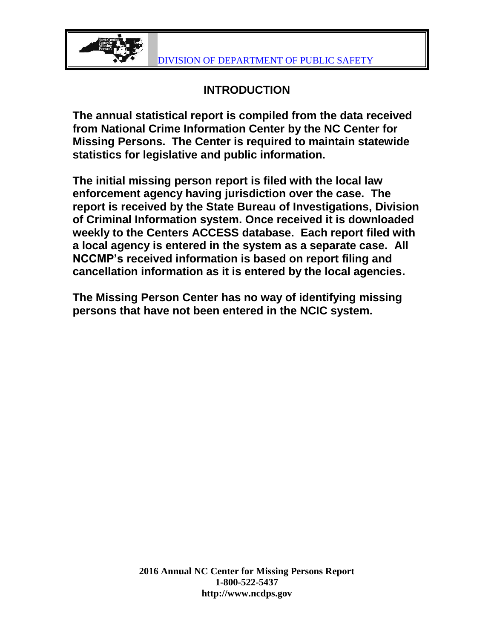

### **INTRODUCTION**

**The annual statistical report is compiled from the data received from National Crime Information Center by the NC Center for Missing Persons. The Center is required to maintain statewide statistics for legislative and public information.**

**The initial missing person report is filed with the local law enforcement agency having jurisdiction over the case. The report is received by the State Bureau of Investigations, Division of Criminal Information system. Once received it is downloaded weekly to the Centers ACCESS database. Each report filed with a local agency is entered in the system as a separate case. All NCCMP's received information is based on report filing and cancellation information as it is entered by the local agencies.**

**The Missing Person Center has no way of identifying missing persons that have not been entered in the NCIC system.**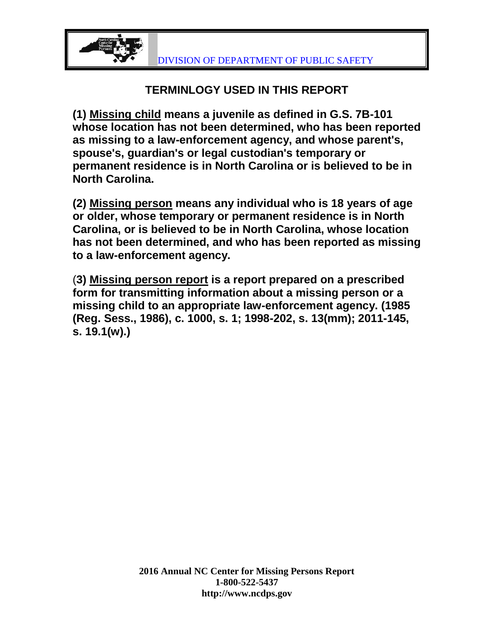

### **TERMINLOGY USED IN THIS REPORT**

**(1) Missing child means a juvenile as defined in G.S. 7B-101 whose location has not been determined, who has been reported as missing to a law-enforcement agency, and whose parent's, spouse's, guardian's or legal custodian's temporary or permanent residence is in North Carolina or is believed to be in North Carolina.**

**(2) Missing person means any individual who is 18 years of age or older, whose temporary or permanent residence is in North Carolina, or is believed to be in North Carolina, whose location has not been determined, and who has been reported as missing to a law-enforcement agency.**

(**3) Missing person report is a report prepared on a prescribed form for transmitting information about a missing person or a missing child to an appropriate law-enforcement agency. (1985 (Reg. Sess., 1986), c. 1000, s. 1; 1998-202, s. 13(mm); 2011-145, s. 19.1(w).)**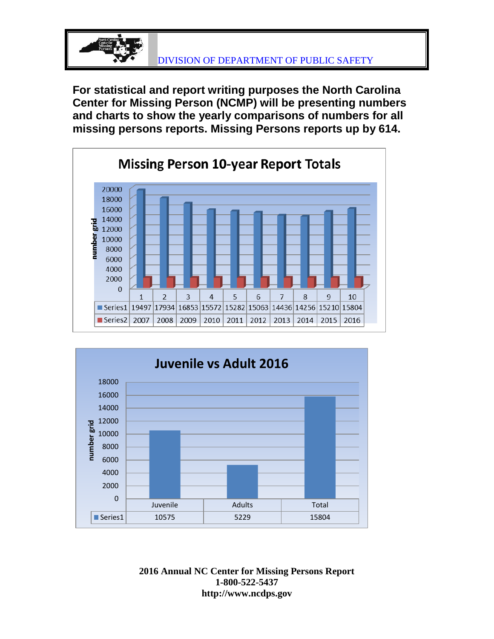

**For statistical and report writing purposes the North Carolina Center for Missing Person (NCMP) will be presenting numbers and charts to show the yearly comparisons of numbers for all missing persons reports. Missing Persons reports up by 614.**



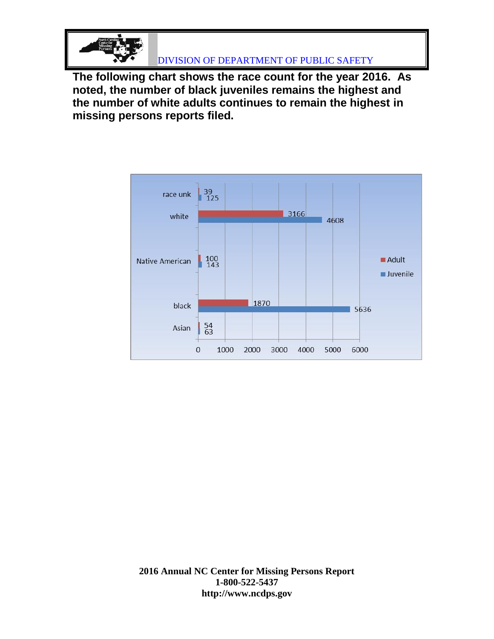

DIVISION OF DEPARTMENT OF PUBLIC SAFETY

**The following chart shows the race count for the year 2016. As noted, the number of black juveniles remains the highest and the number of white adults continues to remain the highest in missing persons reports filed.**

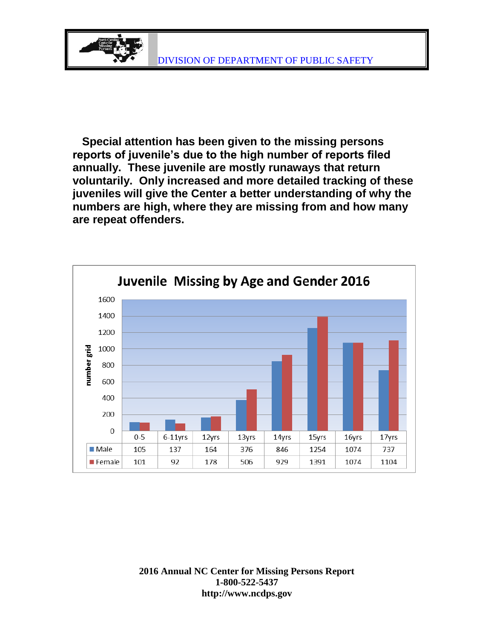

 **Special attention has been given to the missing persons reports of juvenile's due to the high number of reports filed annually. These juvenile are mostly runaways that return voluntarily. Only increased and more detailed tracking of these juveniles will give the Center a better understanding of why the numbers are high, where they are missing from and how many are repeat offenders.**

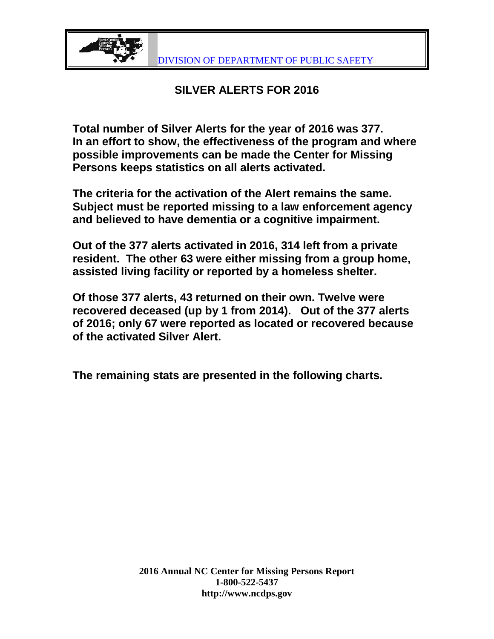

#### **SILVER ALERTS FOR 2016**

**Total number of Silver Alerts for the year of 2016 was 377. In an effort to show, the effectiveness of the program and where possible improvements can be made the Center for Missing Persons keeps statistics on all alerts activated.**

**The criteria for the activation of the Alert remains the same. Subject must be reported missing to a law enforcement agency and believed to have dementia or a cognitive impairment.** 

**Out of the 377 alerts activated in 2016, 314 left from a private resident. The other 63 were either missing from a group home, assisted living facility or reported by a homeless shelter.**

**Of those 377 alerts, 43 returned on their own. Twelve were recovered deceased (up by 1 from 2014). Out of the 377 alerts of 2016; only 67 were reported as located or recovered because of the activated Silver Alert.** 

**The remaining stats are presented in the following charts.**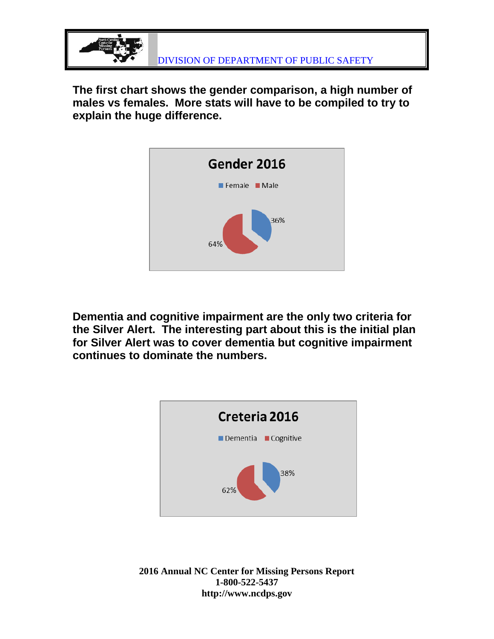

**The first chart shows the gender comparison, a high number of males vs females. More stats will have to be compiled to try to explain the huge difference.**



**Dementia and cognitive impairment are the only two criteria for the Silver Alert. The interesting part about this is the initial plan for Silver Alert was to cover dementia but cognitive impairment continues to dominate the numbers.**

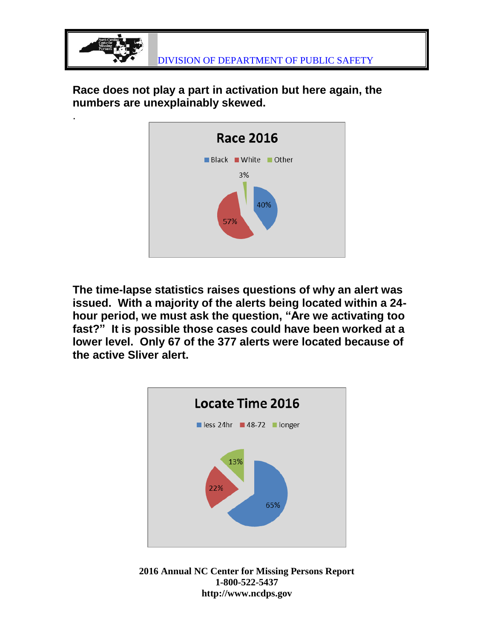

**Race does not play a part in activation but here again, the numbers are unexplainably skewed.**

.



**The time-lapse statistics raises questions of why an alert was issued. With a majority of the alerts being located within a 24 hour period, we must ask the question, "Are we activating too fast?" It is possible those cases could have been worked at a lower level. Only 67 of the 377 alerts were located because of the active Sliver alert.**



**2016 Annual NC Center for Missing Persons Report 1-800-522-5437 http://www.ncdps.gov**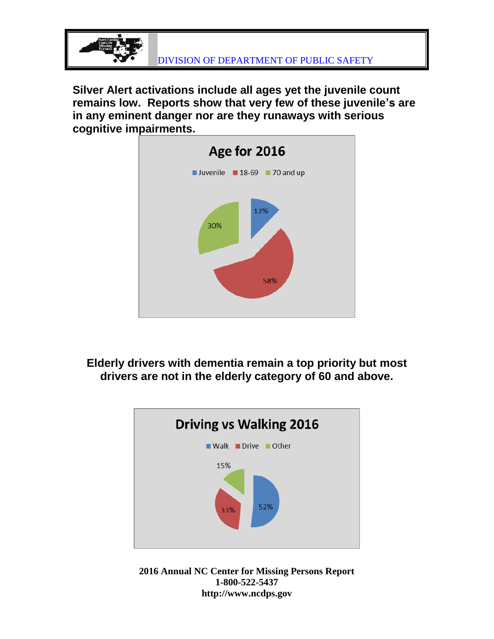

**Silver Alert activations include all ages yet the juvenile count remains low. Reports show that very few of these juvenile's are in any eminent danger nor are they runaways with serious cognitive impairments.** 



**Elderly drivers with dementia remain a top priority but most drivers are not in the elderly category of 60 and above.**



**2016 Annual NC Center for Missing Persons Report 1-800-522-5437 http://www.ncdps.gov**